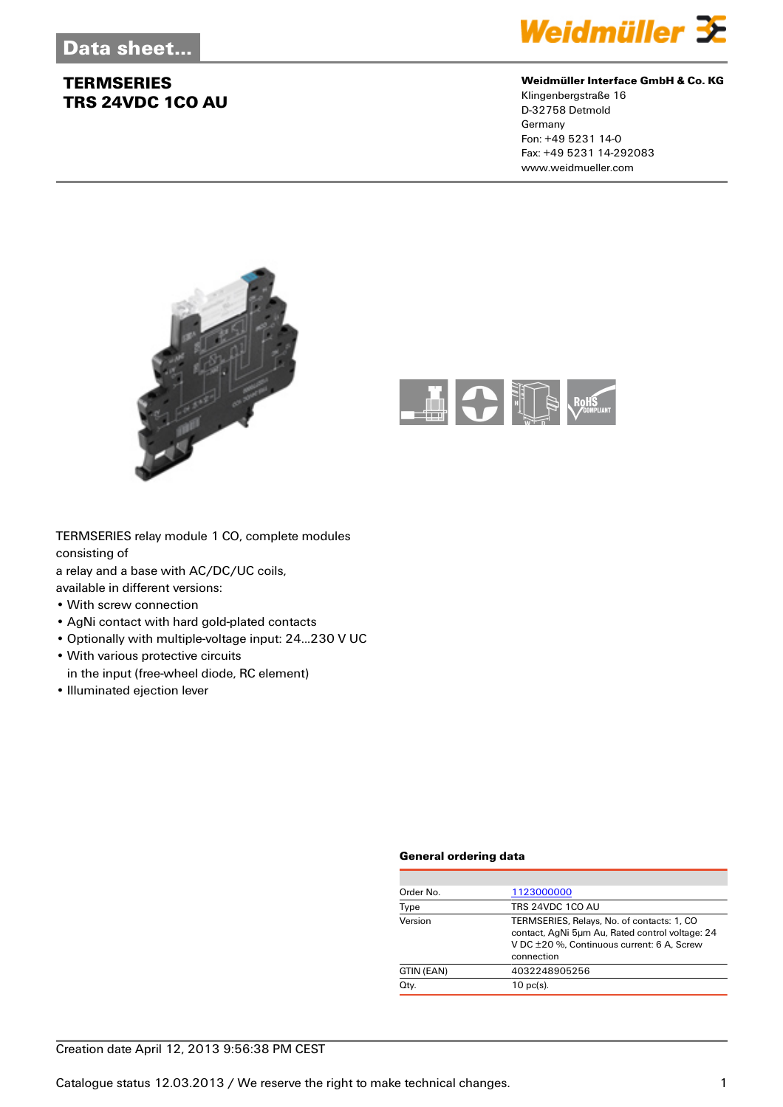

#### **Weidmüller Interface GmbH & Co. KG**

Klingenbergstraße 16 D-32758 Detmold Germany Fon: +49 5231 14-0 Fax: +49 5231 14-292083 www.weidmueller.com





TERMSERIES relay module 1 CO, complete modules consisting of

a relay and a base with AC/DC/UC coils,

available in different versions:

- With screw connection
- AgNi contact with hard gold-plated contacts
- Optionally with multiple-voltage input: 24...230 V UC
- With various protective circuits in the input (free-wheel diode, RC element)
- Illuminated ejection lever

#### **General ordering data**

| Order No.  | 1123000000                                                                                                                                                |
|------------|-----------------------------------------------------------------------------------------------------------------------------------------------------------|
| Type       | TRS 24VDC 1CO AU                                                                                                                                          |
| Version    | TERMSERIES, Relays, No. of contacts: 1, CO<br>contact, AgNi 5um Au, Rated control voltage: 24<br>V DC ±20 %. Continuous current: 6 A. Screw<br>connection |
| GTIN (EAN) | 4032248905256                                                                                                                                             |
| Qty.       | $10 \text{ pc(s)}$ .                                                                                                                                      |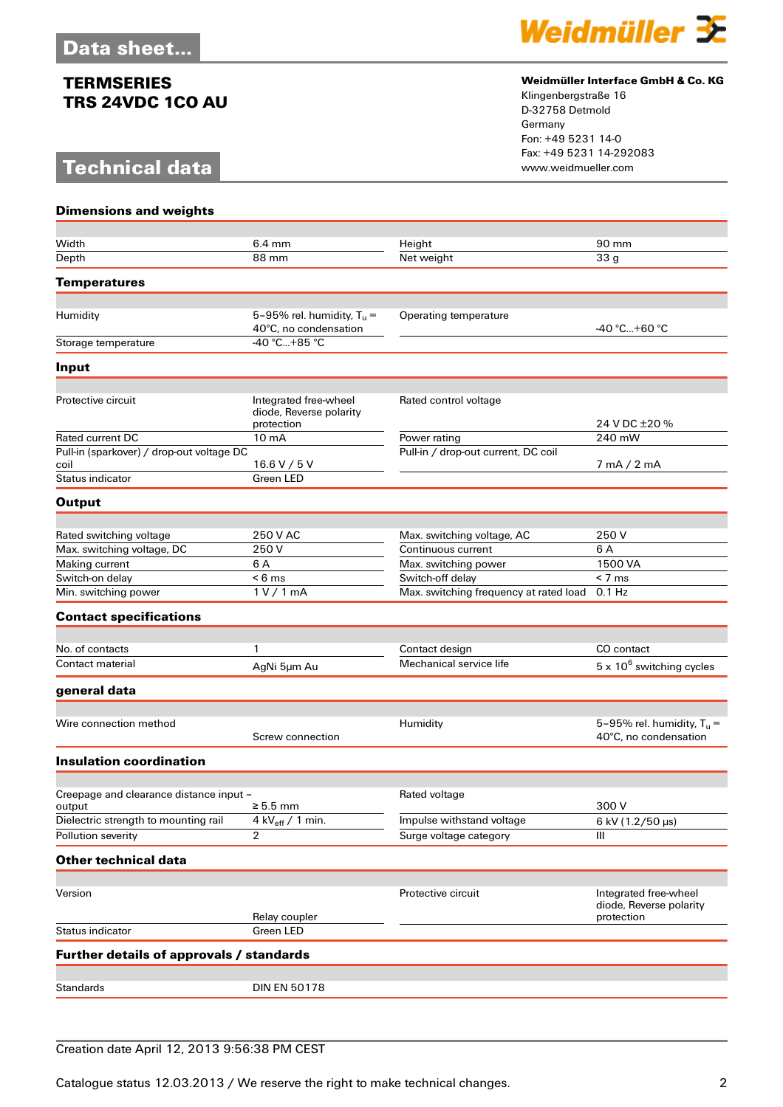# **Technical data**



#### **Weidmüller Interface GmbH & Co. KG**

Klingenbergstraße 16 D-32758 Detmold Germany Fon: +49 5231 14-0 Fax: +49 5231 14-292083

| <b>Dimensions and weights</b>             |                                                                |                                          |                                                                |
|-------------------------------------------|----------------------------------------------------------------|------------------------------------------|----------------------------------------------------------------|
|                                           |                                                                |                                          |                                                                |
| Width<br>Depth                            | 6.4 mm<br>88 mm                                                | Height<br>Net weight                     | 90 mm<br>33 <sub>q</sub>                                       |
|                                           |                                                                |                                          |                                                                |
| <b>Temperatures</b>                       |                                                                |                                          |                                                                |
| Humidity                                  | 5-95% rel. humidity, $T_u =$                                   | Operating temperature                    |                                                                |
|                                           | 40°C, no condensation                                          |                                          | -40 °C+60 °C                                                   |
| Storage temperature                       | -40 °C+85 °C                                                   |                                          |                                                                |
| Input                                     |                                                                |                                          |                                                                |
|                                           |                                                                |                                          |                                                                |
| Protective circuit                        | Integrated free-wheel<br>diode, Reverse polarity<br>protection | Rated control voltage                    | 24 V DC ±20 %                                                  |
| <b>Rated current DC</b>                   | 10 <sub>m</sub> A                                              | Power rating                             | 240 mW                                                         |
| Pull-in (sparkover) / drop-out voltage DC |                                                                | Pull-in / drop-out current, DC coil      |                                                                |
| coil                                      | 16.6 V / 5 V                                                   |                                          | $7 \text{ mA} / 2 \text{ mA}$                                  |
| Status indicator                          | Green LED                                                      |                                          |                                                                |
| <b>Output</b>                             |                                                                |                                          |                                                                |
|                                           |                                                                |                                          |                                                                |
| Rated switching voltage                   | 250 V AC                                                       | Max. switching voltage, AC               | 250 V                                                          |
| Max. switching voltage, DC                | 250 V                                                          | Continuous current                       | 6 A                                                            |
| Making current<br>Switch-on delay         | 6 A<br>$< 6 \text{ ms}$                                        | Max. switching power<br>Switch-off delay | 1500 VA<br>$< 7 \text{ ms}$                                    |
| Min. switching power                      | 1 V / 1 mA                                                     | Max. switching frequency at rated load   | $0.1$ Hz                                                       |
|                                           |                                                                |                                          |                                                                |
| <b>Contact specifications</b>             |                                                                |                                          |                                                                |
| No. of contacts                           | 1                                                              | Contact design                           | CO contact                                                     |
| Contact material                          | AgNi 5µm Au                                                    | Mechanical service life                  | $5 \times 10^6$ switching cycles                               |
|                                           |                                                                |                                          |                                                                |
| general data                              |                                                                |                                          |                                                                |
| Wire connection method                    |                                                                | Humidity                                 | 5-95% rel. humidity, $T_u$ =                                   |
|                                           | Screw connection                                               |                                          | 40°C, no condensation                                          |
| <b>Insulation coordination</b>            |                                                                |                                          |                                                                |
|                                           |                                                                |                                          |                                                                |
| Creepage and clearance distance input –   |                                                                | Rated voltage                            |                                                                |
| output                                    | $\geq 5.5$ mm                                                  |                                          | 300 V                                                          |
| Dielectric strength to mounting rail      | 4 kV $_{\text{eff}}$ / 1 min.                                  | Impulse withstand voltage                | 6 kV (1.2/50 µs)                                               |
| Pollution severity                        | 2                                                              | Surge voltage category                   | Ш                                                              |
| <b>Other technical data</b>               |                                                                |                                          |                                                                |
|                                           |                                                                |                                          |                                                                |
| Version                                   | Relay coupler                                                  | Protective circuit                       | Integrated free-wheel<br>diode, Reverse polarity<br>protection |
| Status indicator                          | <b>Green LED</b>                                               |                                          |                                                                |
| Further details of approvals / standards  |                                                                |                                          |                                                                |
|                                           |                                                                |                                          |                                                                |
| <b>Standards</b>                          | <b>DIN EN 50178</b>                                            |                                          |                                                                |

### Creation date April 12, 2013 9:56:38 PM CEST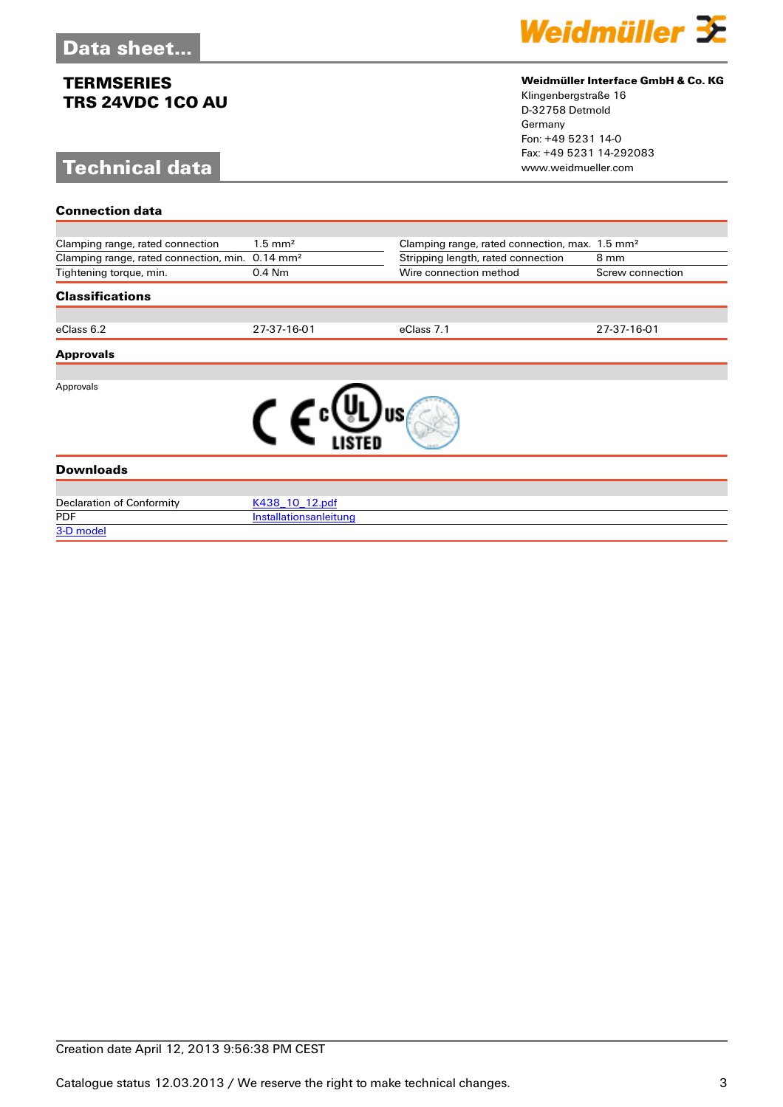# **Technical data**

[3-D model](http://catalog.weidmueller.com/procat/PartServerForm.jsp?partNumber=1123000000)



#### **Weidmüller Interface GmbH & Co. KG**

Klingenbergstraße 16 D-32758 Detmold Germany Fon: +49 5231 14-0 Fax: +49 5231 14-292083

| <b>Connection data</b>                                      |                        |                                                            |                  |
|-------------------------------------------------------------|------------------------|------------------------------------------------------------|------------------|
|                                                             |                        |                                                            |                  |
| Clamping range, rated connection                            | $1.5$ mm <sup>2</sup>  | Clamping range, rated connection, max. 1.5 mm <sup>2</sup> |                  |
| Clamping range, rated connection, min. 0.14 mm <sup>2</sup> |                        | Stripping length, rated connection                         | 8 mm             |
| Tightening torque, min.                                     | 0.4 Nm                 | Wire connection method                                     | Screw connection |
| <b>Classifications</b>                                      |                        |                                                            |                  |
|                                                             |                        |                                                            |                  |
| eClass 6.2                                                  | 27-37-16-01            | eClass 7.1                                                 | 27-37-16-01      |
| <b>Approvals</b>                                            |                        |                                                            |                  |
|                                                             |                        |                                                            |                  |
| Approvals                                                   |                        |                                                            |                  |
|                                                             |                        |                                                            |                  |
|                                                             |                        |                                                            |                  |
|                                                             |                        |                                                            |                  |
| <b>Downloads</b>                                            |                        |                                                            |                  |
|                                                             |                        |                                                            |                  |
| <b>Declaration of Conformity</b>                            | K438 10 12.pdf         |                                                            |                  |
| <b>PDF</b>                                                  | Installationsanleitung |                                                            |                  |